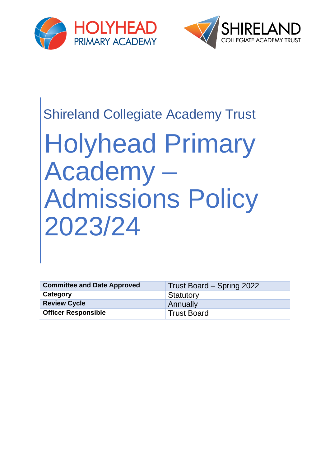



# Shireland Collegiate Academy Trust

# Holyhead Primary Academy – Admissions Policy 2023/24

| <b>Committee and Date Approved</b> | Trust Board – Spring 2022 |
|------------------------------------|---------------------------|
| Category                           | Statutory                 |
| <b>Review Cycle</b>                | Annually                  |
| <b>Officer Responsible</b>         | <b>Trust Board</b>        |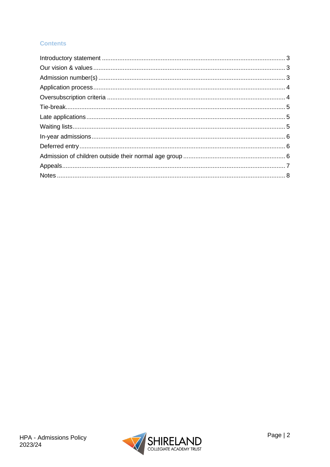#### **Contents**

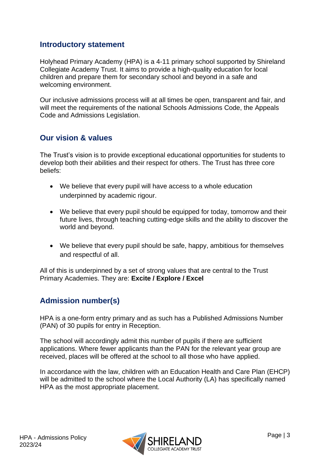#### <span id="page-2-0"></span>**Introductory statement**

Holyhead Primary Academy (HPA) is a 4-11 primary school supported by Shireland Collegiate Academy Trust. It aims to provide a high-quality education for local children and prepare them for secondary school and beyond in a safe and welcoming environment.

Our inclusive admissions process will at all times be open, transparent and fair, and will meet the requirements of the national Schools Admissions Code, the Appeals Code and Admissions Legislation.

#### <span id="page-2-1"></span>**Our vision & values**

The Trust's vision is to provide exceptional educational opportunities for students to develop both their abilities and their respect for others. The Trust has three core beliefs:

- We believe that every pupil will have access to a whole education underpinned by academic rigour.
- We believe that every pupil should be equipped for today, tomorrow and their future lives, through teaching cutting-edge skills and the ability to discover the world and beyond.
- We believe that every pupil should be safe, happy, ambitious for themselves and respectful of all.

All of this is underpinned by a set of strong values that are central to the Trust Primary Academies. They are: **Excite / Explore / Excel**

### <span id="page-2-2"></span>**Admission number(s)**

HPA is a one-form entry primary and as such has a Published Admissions Number (PAN) of 30 pupils for entry in Reception.

The school will accordingly admit this number of pupils if there are sufficient applications. Where fewer applicants than the PAN for the relevant year group are received, places will be offered at the school to all those who have applied.

In accordance with the law, children with an Education Health and Care Plan (EHCP) will be admitted to the school where the Local Authority (LA) has specifically named HPA as the most appropriate placement.

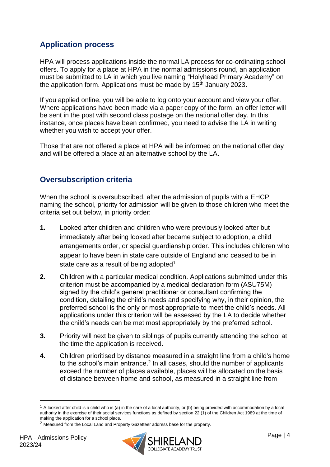## <span id="page-3-0"></span>**Application process**

HPA will process applications inside the normal LA process for co-ordinating school offers. To apply for a place at HPA in the normal admissions round, an application must be submitted to LA in which you live naming "Holyhead Primary Academy" on the application form. Applications must be made by  $15<sup>th</sup>$  January 2023.

If you applied online, you will be able to log onto your account and view your offer. Where applications have been made via a paper copy of the form, an offer letter will be sent in the post with second class postage on the national offer day. In this instance, once places have been confirmed, you need to advise the LA in writing whether you wish to accept your offer.

Those that are not offered a place at HPA will be informed on the national offer day and will be offered a place at an alternative school by the LA.

### <span id="page-3-1"></span>**Oversubscription criteria**

When the school is oversubscribed, after the admission of pupils with a EHCP naming the school, priority for admission will be given to those children who meet the criteria set out below, in priority order:

- **1.** Looked after children and children who were previously looked after but immediately after being looked after became subject to adoption, a child arrangements order, or special guardianship order. This includes children who appear to have been in state care outside of England and ceased to be in state care as a result of being adopted<sup>1</sup>
- **2.** Children with a particular medical condition. Applications submitted under this criterion must be accompanied by a medical declaration form (ASU75M) signed by the child's general practitioner or consultant confirming the condition, detailing the child's needs and specifying why, in their opinion, the preferred school is the only or most appropriate to meet the child's needs. All applications under this criterion will be assessed by the LA to decide whether the child's needs can be met most appropriately by the preferred school.
- **3.** Priority will next be given to siblings of pupils currently attending the school at the time the application is received.
- **4.** Children prioritised by distance measured in a straight line from a child's home to the school's main entrance.<sup>2</sup> In all cases, should the number of applicants exceed the number of places available, places will be allocated on the basis of distance between home and school, as measured in a straight line from



 $1$  A looked after child is a child who is (a) in the care of a local authority, or (b) being provided with accommodation by a local authority in the exercise of their social services functions as defined by section 22 (1) of the Children Act 1989 at the time of making the application for a school place.

<sup>2</sup> Measured from the Local Land and Property Gazetteer address base for the property.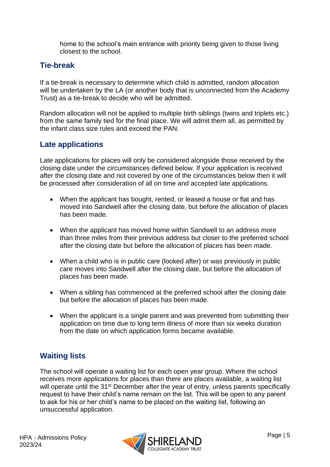home to the school's main entrance with priority being given to those living closest to the school.

#### <span id="page-4-0"></span>**Tie-break**

If a tie-break is necessary to determine which child is admitted, random allocation will be undertaken by the LA (or another body that is unconnected from the Academy Trust) as a tie-break to decide who will be admitted.

Random allocation will not be applied to multiple birth siblings (twins and triplets etc.) from the same family tied for the final place. We will admit them all, as permitted by the infant class size rules and exceed the PAN.

#### <span id="page-4-1"></span>**Late applications**

Late applications for places will only be considered alongside those received by the closing date under the circumstances defined below. If your application is received after the closing date and not covered by one of the circumstances below then it will be processed after consideration of all on time and accepted late applications.

- When the applicant has bought, rented, or leased a house or flat and has moved into Sandwell after the closing date, but before the allocation of places has been made.
- When the applicant has moved home within Sandwell to an address more than three miles from their previous address but closer to the preferred school after the closing date but before the allocation of places has been made.
- When a child who is in public care (looked after) or was previously in public care moves into Sandwell after the closing date, but before the allocation of places has been made.
- When a sibling has commenced at the preferred school after the closing date but before the allocation of places has been made.
- When the applicant is a single parent and was prevented from submitting their application on time due to long term illness of more than six weeks duration from the date on which application forms became available.

### <span id="page-4-2"></span>**Waiting lists**

The school will operate a waiting list for each open year group. Where the school receives more applications for places than there are places available, a waiting list will operate until the 31<sup>st</sup> December after the year of entry, unless parents specifically request to have their child's name remain on the list. This will be open to any parent to ask for his or her child's name to be placed on the waiting list, following an unsuccessful application.

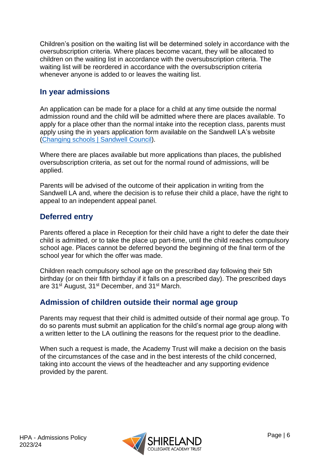Children's position on the waiting list will be determined solely in accordance with the oversubscription criteria. Where places become vacant, they will be allocated to children on the waiting list in accordance with the oversubscription criteria. The waiting list will be reordered in accordance with the oversubscription criteria whenever anyone is added to or leaves the waiting list.

#### <span id="page-5-0"></span>**In year admissions**

An application can be made for a place for a child at any time outside the normal admission round and the child will be admitted where there are places available. To apply for a place other than the normal intake into the reception class, parents must apply using the in years application form available on the Sandwell LA's website [\(Changing schools | Sandwell Council\)](https://www.sandwell.gov.uk/info/200303/school_admissions/2053/changing_schools).

Where there are places available but more applications than places, the published oversubscription criteria, as set out for the normal round of admissions, will be applied.

Parents will be advised of the outcome of their application in writing from the Sandwell LA and, where the decision is to refuse their child a place, have the right to appeal to an independent appeal panel.

#### <span id="page-5-1"></span>**Deferred entry**

Parents offered a place in Reception for their child have a right to defer the date their child is admitted, or to take the place up part-time, until the child reaches compulsory school age. Places cannot be deferred beyond the beginning of the final term of the school year for which the offer was made.

Children reach compulsory school age on the prescribed day following their 5th birthday (or on their fifth birthday if it falls on a prescribed day). The prescribed days are 31<sup>st</sup> August, 31<sup>st</sup> December, and 31<sup>st</sup> March.

#### <span id="page-5-2"></span>**Admission of children outside their normal age group**

Parents may request that their child is admitted outside of their normal age group. To do so parents must submit an application for the child's normal age group along with a written letter to the LA outlining the reasons for the request prior to the deadline.

When such a request is made, the Academy Trust will make a decision on the basis of the circumstances of the case and in the best interests of the child concerned, taking into account the views of the headteacher and any supporting evidence provided by the parent.

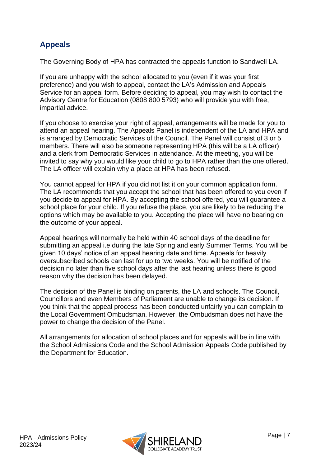# <span id="page-6-0"></span>**Appeals**

The Governing Body of HPA has contracted the appeals function to Sandwell LA.

If you are unhappy with the school allocated to you (even if it was your first preference) and you wish to appeal, contact the LA's Admission and Appeals Service for an appeal form. Before deciding to appeal, you may wish to contact the Advisory Centre for Education (0808 800 5793) who will provide you with free, impartial advice.

If you choose to exercise your right of appeal, arrangements will be made for you to attend an appeal hearing. The Appeals Panel is independent of the LA and HPA and is arranged by Democratic Services of the Council. The Panel will consist of 3 or 5 members. There will also be someone representing HPA (this will be a LA officer) and a clerk from Democratic Services in attendance. At the meeting, you will be invited to say why you would like your child to go to HPA rather than the one offered. The LA officer will explain why a place at HPA has been refused.

You cannot appeal for HPA if you did not list it on your common application form. The LA recommends that you accept the school that has been offered to you even if you decide to appeal for HPA. By accepting the school offered, you will guarantee a school place for your child. If you refuse the place, you are likely to be reducing the options which may be available to you. Accepting the place will have no bearing on the outcome of your appeal.

Appeal hearings will normally be held within 40 school days of the deadline for submitting an appeal i.e during the late Spring and early Summer Terms. You will be given 10 days' notice of an appeal hearing date and time. Appeals for heavily oversubscribed schools can last for up to two weeks. You will be notified of the decision no later than five school days after the last hearing unless there is good reason why the decision has been delayed.

The decision of the Panel is binding on parents, the LA and schools. The Council, Councillors and even Members of Parliament are unable to change its decision. If you think that the appeal process has been conducted unfairly you can complain to the Local Government Ombudsman. However, the Ombudsman does not have the power to change the decision of the Panel.

All arrangements for allocation of school places and for appeals will be in line with the School Admissions Code and the School Admission Appeals Code published by the Department for Education.